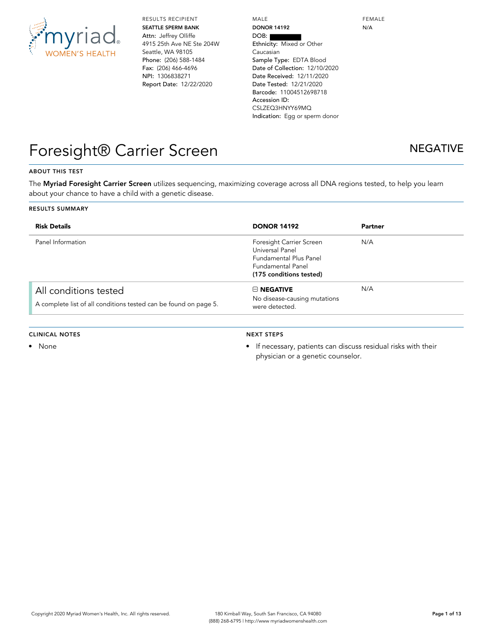

RESULTS RECIPIENT **SEATTLE SPERM BANK** Attn: Jeffrey Olliffe 4915 25th Ave NE Ste 204W Seattle, WA 98105 Phone: (206) 588-1484 Fax: (206) 466-4696 NPI: 1306838271 Report Date: 12/22/2020

MALE **DONOR 14192** DOB: Ethnicity: Mixed or Other Caucasian Sample Type: EDTA Blood Date of Collection: 12/10/2020 Date Received: 12/11/2020 Date Tested: 12/21/2020 Barcode: 11004512698718 Accession ID: CSLZEQ3HNYY69MQ Indication: Egg or sperm donor FEMALE N/A

## Foresight® Carrier Screen NEGATIVE

### **ABOUT THIS TEST**

The **Myriad Foresight Carrier Screen** utilizes sequencing, maximizing coverage across all DNA regions tested, to help you learn about your chance to have a child with a genetic disease.

#### **RESULTS SUMMARY**

| <b>Risk Details</b>                                                                       | <b>DONOR 14192</b>                                                                                                                  | Partner |
|-------------------------------------------------------------------------------------------|-------------------------------------------------------------------------------------------------------------------------------------|---------|
| Panel Information                                                                         | Foresight Carrier Screen<br>Universal Panel<br><b>Fundamental Plus Panel</b><br><b>Fundamental Panel</b><br>(175 conditions tested) | N/A     |
| All conditions tested<br>A complete list of all conditions tested can be found on page 5. | $\boxminus$ NEGATIVE<br>No disease-causing mutations<br>were detected.                                                              | N/A     |

#### **CLINICAL NOTES**

• None

#### **NEXT STEPS**

• If necessary, patients can discuss residual risks with their physician or a genetic counselor.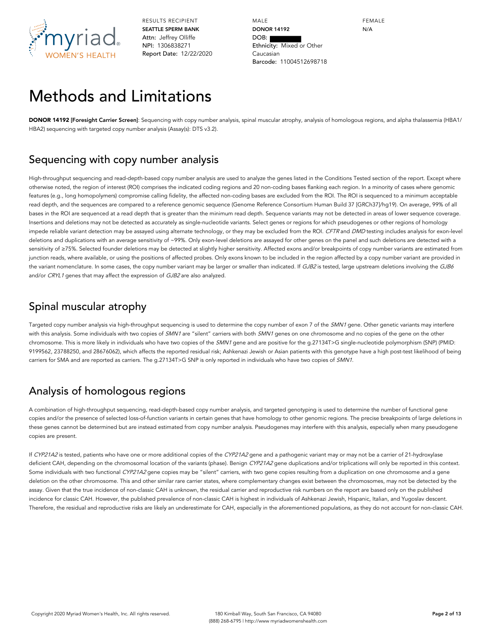

MALE **DONOR 14192** DOB: Ethnicity: Mixed or Other Caucasian Barcode: 11004512698718 FEMALE N/A

## Methods and Limitations

**DONOR 14192 [Foresight Carrier Screen]**: Sequencing with copy number analysis, spinal muscular atrophy, analysis of homologous regions, and alpha thalassemia (HBA1/ HBA2) sequencing with targeted copy number analysis (Assay(s): DTS v3.2).

### Sequencing with copy number analysis

High-throughput sequencing and read-depth-based copy number analysis are used to analyze the genes listed in the Conditions Tested section of the report. Except where otherwise noted, the region of interest (ROI) comprises the indicated coding regions and 20 non-coding bases flanking each region. In a minority of cases where genomic features (e.g., long homopolymers) compromise calling fidelity, the affected non-coding bases are excluded from the ROI. The ROI is sequenced to a minimum acceptable read depth, and the sequences are compared to a reference genomic sequence (Genome Reference Consortium Human Build 37 [GRCh37]/hg19). On average, 99% of all bases in the ROI are sequenced at a read depth that is greater than the minimum read depth. Sequence variants may not be detected in areas of lower sequence coverage. Insertions and deletions may not be detected as accurately as single-nucleotide variants. Select genes or regions for which pseudogenes or other regions of homology impede reliable variant detection may be assayed using alternate technology, or they may be excluded from the ROI. CFTR and DMD testing includes analysis for exon-level deletions and duplications with an average sensitivity of ~99%. Only exon-level deletions are assayed for other genes on the panel and such deletions are detected with a sensitivity of ≥75%. Selected founder deletions may be detected at slightly higher sensitivity. Affected exons and/or breakpoints of copy number variants are estimated from junction reads, where available, or using the positions of affected probes. Only exons known to be included in the region affected by a copy number variant are provided in the variant nomenclature. In some cases, the copy number variant may be larger or smaller than indicated. If GJB2 is tested, large upstream deletions involving the GJB6 and/or CRYL1 genes that may affect the expression of GJB2 are also analyzed.

### Spinal muscular atrophy

Targeted copy number analysis via high-throughput sequencing is used to determine the copy number of exon 7 of the SMN1 gene. Other genetic variants may interfere with this analysis. Some individuals with two copies of SMN1 are "silent" carriers with both SMN1 genes on one chromosome and no copies of the gene on the other chromosome. This is more likely in individuals who have two copies of the SMN1 gene and are positive for the q.27134T>G single-nucleotide polymorphism (SNP) (PMID: 9199562, 23788250, and 28676062), which affects the reported residual risk; Ashkenazi Jewish or Asian patients with this genotype have a high post-test likelihood of being carriers for SMA and are reported as carriers. The g.27134T>G SNP is only reported in individuals who have two copies of SMN1.

## Analysis of homologous regions

A combination of high-throughput sequencing, read-depth-based copy number analysis, and targeted genotyping is used to determine the number of functional gene copies and/or the presence of selected loss-of-function variants in certain genes that have homology to other genomic regions. The precise breakpoints of large deletions in these genes cannot be determined but are instead estimated from copy number analysis. Pseudogenes may interfere with this analysis, especially when many pseudogene copies are present.

If CYP21A2 is tested, patients who have one or more additional copies of the CYP21A2 gene and a pathogenic variant may or may not be a carrier of 21-hydroxylase deficient CAH, depending on the chromosomal location of the variants (phase). Benign CYP21A2 gene duplications and/or triplications will only be reported in this context. Some individuals with two functional CYP21A2 gene copies may be "silent" carriers, with two gene copies resulting from a duplication on one chromosome and a gene deletion on the other chromosome. This and other similar rare carrier states, where complementary changes exist between the chromosomes, may not be detected by the assay. Given that the true incidence of non-classic CAH is unknown, the residual carrier and reproductive risk numbers on the report are based only on the published incidence for classic CAH. However, the published prevalence of non-classic CAH is highest in individuals of Ashkenazi Jewish, Hispanic, Italian, and Yugoslav descent. Therefore, the residual and reproductive risks are likely an underestimate for CAH, especially in the aforementioned populations, as they do not account for non-classic CAH.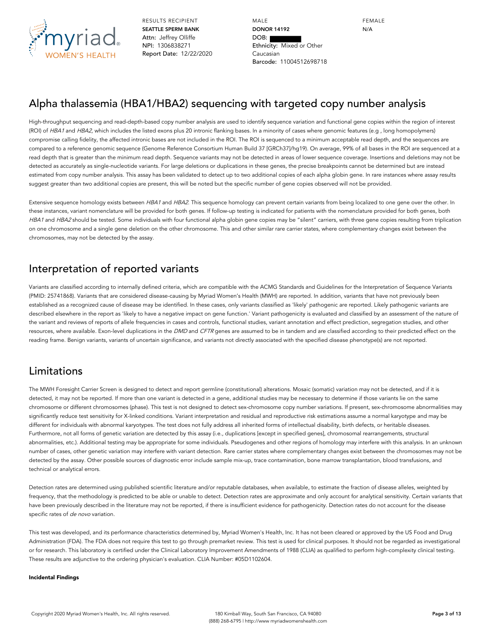

MALE **DONOR 14192** DOB: Ethnicity: Mixed or Other Caucasian Barcode: 11004512698718

FEMALE N/A

### Alpha thalassemia (HBA1/HBA2) sequencing with targeted copy number analysis

High-throughput sequencing and read-depth-based copy number analysis are used to identify sequence variation and functional gene copies within the region of interest (ROI) of HBA1 and HBA2, which includes the listed exons plus 20 intronic flanking bases. In a minority of cases where genomic features (e.g., long homopolymers) compromise calling fidelity, the affected intronic bases are not included in the ROI. The ROI is sequenced to a minimum acceptable read depth, and the sequences are compared to a reference genomic sequence (Genome Reference Consortium Human Build 37 [GRCh37]/hg19). On average, 99% of all bases in the ROI are sequenced at a read depth that is greater than the minimum read depth. Sequence variants may not be detected in areas of lower sequence coverage. Insertions and deletions may not be detected as accurately as single-nucleotide variants. For large deletions or duplications in these genes, the precise breakpoints cannot be determined but are instead estimated from copy number analysis. This assay has been validated to detect up to two additional copies of each alpha globin gene. In rare instances where assay results suggest greater than two additional copies are present, this will be noted but the specific number of gene copies observed will not be provided.

Extensive sequence homology exists between HBA1 and HBA2. This sequence homology can prevent certain variants from being localized to one gene over the other. In these instances, variant nomenclature will be provided for both genes. If follow-up testing is indicated for patients with the nomenclature provided for both genes, both HBA1 and HBA2 should be tested. Some individuals with four functional alpha globin gene copies may be "silent" carriers, with three gene copies resulting from triplication on one chromosome and a single gene deletion on the other chromosome. This and other similar rare carrier states, where complementary changes exist between the chromosomes, may not be detected by the assay.

### Interpretation of reported variants

Variants are classified according to internally defined criteria, which are compatible with the ACMG Standards and Guidelines for the Interpretation of Sequence Variants (PMID: 25741868). Variants that are considered disease-causing by Myriad Women's Health (MWH) are reported. In addition, variants that have not previously been established as a recognized cause of disease may be identified. In these cases, only variants classified as 'likely' pathogenic are reported. Likely pathogenic variants are described elsewhere in the report as 'likely to have a negative impact on gene function.' Variant pathogenicity is evaluated and classified by an assessment of the nature of the variant and reviews of reports of allele frequencies in cases and controls, functional studies, variant annotation and effect prediction, segregation studies, and other resources, where available. Exon-level duplications in the DMD and CFTR genes are assumed to be in tandem and are classified according to their predicted effect on the reading frame. Benign variants, variants of uncertain significance, and variants not directly associated with the specified disease phenotype(s) are not reported.

### Limitations

The MWH Foresight Carrier Screen is designed to detect and report germline (constitutional) alterations. Mosaic (somatic) variation may not be detected, and if it is detected, it may not be reported. If more than one variant is detected in a gene, additional studies may be necessary to determine if those variants lie on the same chromosome or different chromosomes (phase). This test is not designed to detect sex-chromosome copy number variations. If present, sex-chromosome abnormalities may significantly reduce test sensitivity for X-linked conditions. Variant interpretation and residual and reproductive risk estimations assume a normal karyotype and may be different for individuals with abnormal karyotypes. The test does not fully address all inherited forms of intellectual disability, birth defects, or heritable diseases. Furthermore, not all forms of genetic variation are detected by this assay (i.e., duplications [except in specified genes], chromosomal rearrangements, structural abnormalities, etc.). Additional testing may be appropriate for some individuals. Pseudogenes and other regions of homology may interfere with this analysis. In an unknown number of cases, other genetic variation may interfere with variant detection. Rare carrier states where complementary changes exist between the chromosomes may not be detected by the assay. Other possible sources of diagnostic error include sample mix-up, trace contamination, bone marrow transplantation, blood transfusions, and technical or analytical errors.

Detection rates are determined using published scientific literature and/or reputable databases, when available, to estimate the fraction of disease alleles, weighted by frequency, that the methodology is predicted to be able or unable to detect. Detection rates are approximate and only account for analytical sensitivity. Certain variants that have been previously described in the literature may not be reported, if there is insufficient evidence for pathogenicity. Detection rates do not account for the disease specific rates of de novo variation.

This test was developed, and its performance characteristics determined by, Myriad Women's Health, Inc. It has not been cleared or approved by the US Food and Drug Administration (FDA). The FDA does not require this test to go through premarket review. This test is used for clinical purposes. It should not be regarded as investigational or for research. This laboratory is certified under the Clinical Laboratory Improvement Amendments of 1988 (CLIA) as qualified to perform high-complexity clinical testing. These results are adjunctive to the ordering physician's evaluation. CLIA Number: #05D1102604.

#### **Incidental Findings**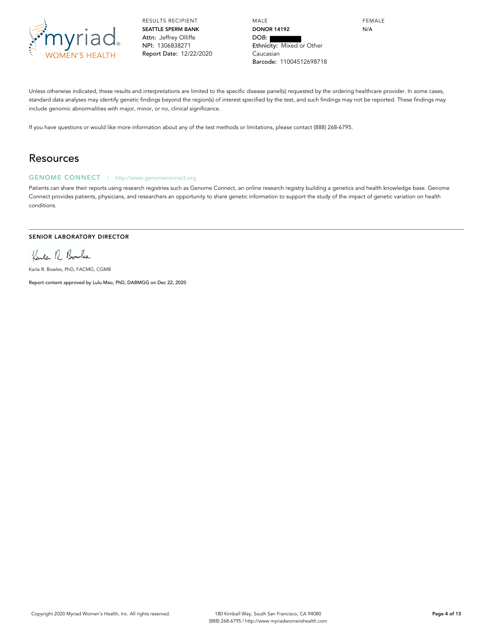

MALE **DONOR 14192** DOB: Ethnicity: Mixed or Other Caucasian Barcode: 11004512698718

FEMALE N/A

Unless otherwise indicated, these results and interpretations are limited to the specific disease panel(s) requested by the ordering healthcare provider. In some cases, standard data analyses may identify genetic findings beyond the region(s) of interest specified by the test, and such findings may not be reported. These findings may include genomic abnormalities with major, minor, or no, clinical significance.

If you have questions or would like more information about any of the test methods or limitations, please contact (888) 268-6795.

### Resources

### **GENOME CONNECT** | http://www.genomeconnect.org

Patients can share their reports using research registries such as Genome Connect, an online research registry building a genetics and health knowledge base. Genome Connect provides patients, physicians, and researchers an opportunity to share genetic information to support the study of the impact of genetic variation on health conditions.

#### **SENIOR LABORATORY DIRECTOR**

Kenter R Boules

Karla R. Bowles, PhD, FACMG, CGMB

Report content approved by Lulu Mao, PhD, DABMGG on Dec 22, 2020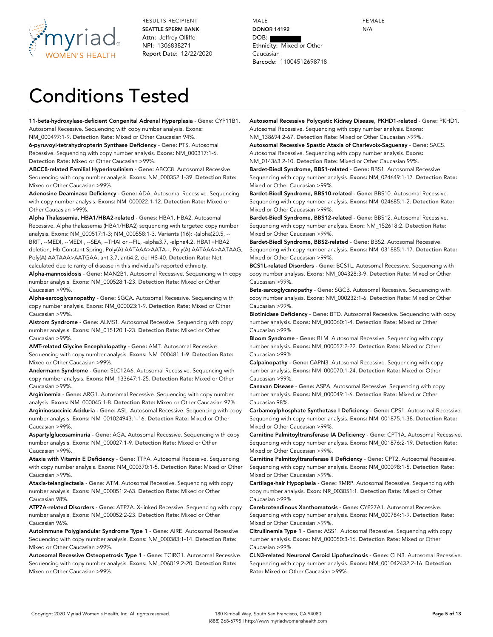

MALE **DONOR 14192** DOB: Ethnicity: Mixed or Other Caucasian Barcode: 11004512698718 FEMALE N/A

# Conditions Tested

**11-beta-hydroxylase-deficient Congenital Adrenal Hyperplasia** - **Gene:** CYP11B1. Autosomal Recessive. Sequencing with copy number analysis. **Exons:**

NM\_000497:1-9. **Detection Rate:** Mixed or Other Caucasian 94%. **6-pyruvoyl-tetrahydropterin Synthase Deficiency** - **Gene:** PTS. Autosomal Recessive. Sequencing with copy number analysis. **Exons:** NM\_000317:1-6. **Detection Rate:** Mixed or Other Caucasian >99%.

**ABCC8-related Familial Hyperinsulinism** - **Gene:** ABCC8. Autosomal Recessive. Sequencing with copy number analysis. **Exons:** NM\_000352:1-39. **Detection Rate:** Mixed or Other Caucasian >99%.

**Adenosine Deaminase Deficiency** - **Gene:** ADA. Autosomal Recessive. Sequencing with copy number analysis. **Exons:** NM\_000022:1-12. **Detection Rate:** Mixed or Other Caucasian >99%.

**Alpha Thalassemia, HBA1/HBA2-related** - **Genes:** HBA1, HBA2. Autosomal Recessive. Alpha thalassemia (HBA1/HBA2) sequencing with targeted copy number analysis. **Exons:** NM\_000517:1-3; NM\_000558:1-3. **Variants (16):** -(alpha)20.5, -- BRIT, --MEDI, --MEDII, --SEA, --THAI or --FIL, -alpha3.7, -alpha4.2, HBA1+HBA2 deletion, Hb Constant Spring, Poly(A) AATAAA>AATA--, Poly(A) AATAAA>AATAAG, Poly(A) AATAAA>AATGAA, anti3.7, anti4.2, del HS-40. **Detection Rate:** Not calculated due to rarity of disease in this individual's reported ethnicity. **Alpha-mannosidosis** - **Gene:** MAN2B1. Autosomal Recessive. Sequencing with copy

number analysis. **Exons:** NM\_000528:1-23. **Detection Rate:** Mixed or Other Caucasian >99%.

**Alpha-sarcoglycanopathy** - **Gene:** SGCA. Autosomal Recessive. Sequencing with copy number analysis. **Exons:** NM\_000023:1-9. **Detection Rate:** Mixed or Other Caucasian >99%.

**Alstrom Syndrome** - **Gene:** ALMS1. Autosomal Recessive. Sequencing with copy number analysis. **Exons:** NM\_015120:1-23. **Detection Rate:** Mixed or Other Caucasian >99%.

**AMT-related Glycine Encephalopathy** - **Gene:** AMT. Autosomal Recessive. Sequencing with copy number analysis. **Exons:** NM\_000481:1-9. **Detection Rate:** Mixed or Other Caucasian >99%.

**Andermann Syndrome** - **Gene:** SLC12A6. Autosomal Recessive. Sequencing with copy number analysis. **Exons:** NM\_133647:1-25. **Detection Rate:** Mixed or Other Caucasian >99%.

**Argininemia** - **Gene:** ARG1. Autosomal Recessive. Sequencing with copy number analysis. **Exons:** NM\_000045:1-8. **Detection Rate:** Mixed or Other Caucasian 97%. **Argininosuccinic Aciduria** - **Gene:** ASL. Autosomal Recessive. Sequencing with copy number analysis. **Exons:** NM\_001024943:1-16. **Detection Rate:** Mixed or Other Caucasian >99%.

**Aspartylglucosaminuria** - **Gene:** AGA. Autosomal Recessive. Sequencing with copy number analysis. **Exons:** NM\_000027:1-9. **Detection Rate:** Mixed or Other Caucasian >99%.

**Ataxia with Vitamin E Deficiency** - **Gene:** TTPA. Autosomal Recessive. Sequencing with copy number analysis. **Exons:** NM\_000370:1-5. **Detection Rate:** Mixed or Other Caucasian >99%.

**Ataxia-telangiectasia** - **Gene:** ATM. Autosomal Recessive. Sequencing with copy number analysis. **Exons:** NM\_000051:2-63. **Detection Rate:** Mixed or Other Caucasian 98%.

**ATP7A-related Disorders** - **Gene:** ATP7A. X-linked Recessive. Sequencing with copy number analysis. **Exons:** NM\_000052:2-23. **Detection Rate:** Mixed or Other Caucasian 96%.

**Autoimmune Polyglandular Syndrome Type 1** - **Gene:** AIRE. Autosomal Recessive. Sequencing with copy number analysis. **Exons:** NM\_000383:1-14. **Detection Rate:** Mixed or Other Caucasian >99%.

**Autosomal Recessive Osteopetrosis Type 1** - **Gene:** TCIRG1. Autosomal Recessive. Sequencing with copy number analysis. **Exons:** NM\_006019:2-20. **Detection Rate:** Mixed or Other Caucasian >99%.

**Autosomal Recessive Polycystic Kidney Disease, PKHD1-related** - **Gene:** PKHD1. Autosomal Recessive. Sequencing with copy number analysis. **Exons:** NM\_138694 2-67. **Detection Rate:** Mixed or Other Caucasian >99%.

**Autosomal Recessive Spastic Ataxia of Charlevoix-Saguenay** - **Gene:** SACS. Autosomal Recessive. Sequencing with copy number analysis. **Exons:**

NM\_014363 2-10. **Detection Rate:** Mixed or Other Caucasian 99%. **Bardet-Biedl Syndrome, BBS1-related** - **Gene:** BBS1. Autosomal Recessive. Sequencing with copy number analysis. **Exons:** NM\_024649:1-17. **Detection Rate:** Mixed or Other Caucasian >99%.

**Bardet-Biedl Syndrome, BBS10-related** - **Gene:** BBS10. Autosomal Recessive. Sequencing with copy number analysis. **Exons:** NM\_024685:1-2. **Detection Rate:** Mixed or Other Caucasian >99%.

**Bardet-Biedl Syndrome, BBS12-related** - **Gene:** BBS12. Autosomal Recessive. Sequencing with copy number analysis. **Exon:** NM\_152618:2. **Detection Rate:** Mixed or Other Caucasian >99%.

**Bardet-Biedl Syndrome, BBS2-related** - **Gene:** BBS2. Autosomal Recessive. Sequencing with copy number analysis. **Exons:** NM\_031885:1-17. **Detection Rate:** Mixed or Other Caucasian >99%.

**BCS1L-related Disorders** - **Gene:** BCS1L. Autosomal Recessive. Sequencing with copy number analysis. **Exons:** NM\_004328:3-9. **Detection Rate:** Mixed or Other Caucasian >99%.

**Beta-sarcoglycanopathy** - **Gene:** SGCB. Autosomal Recessive. Sequencing with copy number analysis. **Exons:** NM\_000232:1-6. **Detection Rate:** Mixed or Other Caucasian >99%.

**Biotinidase Deficiency** - **Gene:** BTD. Autosomal Recessive. Sequencing with copy number analysis. **Exons:** NM\_000060:1-4. **Detection Rate:** Mixed or Other Caucasian >99%.

**Bloom Syndrome** - **Gene:** BLM. Autosomal Recessive. Sequencing with copy number analysis. **Exons:** NM\_000057:2-22. **Detection Rate:** Mixed or Other Caucasian >99%.

**Calpainopathy** - **Gene:** CAPN3. Autosomal Recessive. Sequencing with copy number analysis. **Exons:** NM\_000070:1-24. **Detection Rate:** Mixed or Other Caucasian >99%.

**Canavan Disease** - **Gene:** ASPA. Autosomal Recessive. Sequencing with copy number analysis. **Exons:** NM\_000049:1-6. **Detection Rate:** Mixed or Other Caucasian 98%.

**Carbamoylphosphate Synthetase I Deficiency** - **Gene:** CPS1. Autosomal Recessive. Sequencing with copy number analysis. **Exons:** NM\_001875:1-38. **Detection Rate:** Mixed or Other Caucasian >99%.

**Carnitine Palmitoyltransferase IA Deficiency** - **Gene:** CPT1A. Autosomal Recessive. Sequencing with copy number analysis. **Exons:** NM\_001876:2-19. **Detection Rate:** Mixed or Other Caucasian >99%.

**Carnitine Palmitoyltransferase II Deficiency** - **Gene:** CPT2. Autosomal Recessive. Sequencing with copy number analysis. **Exons:** NM\_000098:1-5. **Detection Rate:** Mixed or Other Caucasian >99%.

**Cartilage-hair Hypoplasia** - **Gene:** RMRP. Autosomal Recessive. Sequencing with copy number analysis. **Exon:** NR\_003051:1. **Detection Rate:** Mixed or Other Caucasian >99%.

**Cerebrotendinous Xanthomatosis** - **Gene:** CYP27A1. Autosomal Recessive. Sequencing with copy number analysis. **Exons:** NM\_000784:1-9. **Detection Rate:** Mixed or Other Caucasian >99%.

**Citrullinemia Type 1** - **Gene:** ASS1. Autosomal Recessive. Sequencing with copy number analysis. **Exons:** NM\_000050:3-16. **Detection Rate:** Mixed or Other Caucasian >99%.

**CLN3-related Neuronal Ceroid Lipofuscinosis** - **Gene:** CLN3. Autosomal Recessive. Sequencing with copy number analysis. **Exons:** NM\_001042432 2-16. **Detection Rate:** Mixed or Other Caucasian >99%.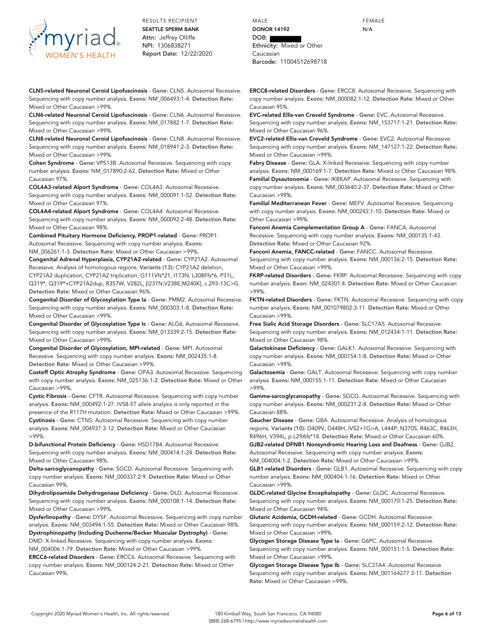

**CLN5-related Neuronal Ceroid Lipofuscinosis** - **Gene:** CLN5. Autosomal Recessive. Sequencing with copy number analysis. **Exons:** NM\_006493:1-4. **Detection Rate:** Mixed or Other Caucasian >99%.

**CLN6-related Neuronal Ceroid Lipofuscinosis** - **Gene:** CLN6. Autosomal Recessive. Sequencing with copy number analysis. **Exons:** NM\_017882:1-7. **Detection Rate:** Mixed or Other Caucasian >99%.

**CLN8-related Neuronal Ceroid Lipofuscinosis** - **Gene:** CLN8. Autosomal Recessive. Sequencing with copy number analysis. **Exons:** NM\_018941:2-3. **Detection Rate:** Mixed or Other Caucasian >99%.

**Cohen Syndrome** - **Gene:** VPS13B. Autosomal Recessive. Sequencing with copy number analysis. **Exons:** NM\_017890:2-62. **Detection Rate:** Mixed or Other Caucasian 97%.

**COL4A3-related Alport Syndrome** - **Gene:** COL4A3. Autosomal Recessive. Sequencing with copy number analysis. **Exons:** NM\_000091:1-52. **Detection Rate:** Mixed or Other Caucasian 97%.

**COL4A4-related Alport Syndrome** - **Gene:** COL4A4. Autosomal Recessive. Sequencing with copy number analysis. **Exons:** NM\_000092:2-48. **Detection Rate:** Mixed or Other Caucasian 98%.

**Combined Pituitary Hormone Deficiency, PROP1-related** - **Gene:** PROP1. Autosomal Recessive. Sequencing with copy number analysis. **Exons:** NM\_006261:1-3. **Detection Rate:** Mixed or Other Caucasian >99%.

**Congenital Adrenal Hyperplasia, CYP21A2-related** - **Gene:** CYP21A2. Autosomal Recessive. Analysis of homologous regions. **Variants (13):** CYP21A2 deletion, CYP21A2 duplication, CYP21A2 triplication, G111Vfs\*21, I173N, L308Ffs\*6, P31L, Q319\*, Q319\*+CYP21A2dup, R357W, V282L, [I237N;V238E;M240K], c.293-13C>G. **Detection Rate:** Mixed or Other Caucasian 96%.

**Congenital Disorder of Glycosylation Type Ia** - **Gene:** PMM2. Autosomal Recessive. Sequencing with copy number analysis. **Exons:** NM\_000303:1-8. **Detection Rate:** Mixed or Other Caucasian >99%.

**Congenital Disorder of Glycosylation Type Ic** - **Gene:** ALG6. Autosomal Recessive. Sequencing with copy number analysis. **Exons:** NM\_013339:2-15. **Detection Rate:** Mixed or Other Caucasian >99%.

**Congenital Disorder of Glycosylation, MPI-related** - **Gene:** MPI. Autosomal Recessive. Sequencing with copy number analysis. **Exons:** NM\_002435:1-8. **Detection Rate:** Mixed or Other Caucasian >99%.

**Costeff Optic Atrophy Syndrome** - **Gene:** OPA3. Autosomal Recessive. Sequencing with copy number analysis. **Exons:** NM\_025136:1-2. **Detection Rate:** Mixed or Other Caucasian >99%.

**Cystic Fibrosis** - **Gene:** CFTR. Autosomal Recessive. Sequencing with copy number analysis. **Exons:** NM\_000492:1-27. IVS8-5T allele analysis is only reported in the

presence of the R117H mutation. **Detection Rate:** Mixed or Other Caucasian >99%. **Cystinosis** - **Gene:** CTNS. Autosomal Recessive. Sequencing with copy number analysis. **Exons:** NM\_004937:3-12. **Detection Rate:** Mixed or Other Caucasian >99%.

**D-bifunctional Protein Deficiency** - **Gene:** HSD17B4. Autosomal Recessive. Sequencing with copy number analysis. **Exons:** NM\_000414:1-24. **Detection Rate:** Mixed or Other Caucasian 98%.

**Delta-sarcoglycanopathy** - **Gene:** SGCD. Autosomal Recessive. Sequencing with copy number analysis. **Exons:** NM\_000337:2-9. **Detection Rate:** Mixed or Other Caucasian 99%.

**Dihydrolipoamide Dehydrogenase Deficiency** - **Gene:** DLD. Autosomal Recessive. Sequencing with copy number analysis. **Exons:** NM\_000108:1-14. **Detection Rate:** Mixed or Other Caucasian >99%.

**Dysferlinopathy** - **Gene:** DYSF. Autosomal Recessive. Sequencing with copy number analysis. **Exons:** NM\_003494:1-55. **Detection Rate:** Mixed or Other Caucasian 98%. **Dystrophinopathy (Including Duchenne/Becker Muscular Dystrophy)** - **Gene:** DMD. X-linked Recessive. Sequencing with copy number analysis. **Exons:**

NM\_004006:1-79. **Detection Rate:** Mixed or Other Caucasian >99%.

**ERCC6-related Disorders** - **Gene:** ERCC6. Autosomal Recessive. Sequencing with copy number analysis. **Exons:** NM\_000124:2-21. **Detection Rate:** Mixed or Other Caucasian 99%.

MALE **DONOR 14192** DOB: Ethnicity: Mixed or Other Caucasian Barcode: 11004512698718

**ERCC8-related Disorders** - **Gene:** ERCC8. Autosomal Recessive. Sequencing with copy number analysis. **Exons:** NM\_000082:1-12. **Detection Rate:** Mixed or Other Caucasian 95%.

**EVC-related Ellis-van Creveld Syndrome** - **Gene:** EVC. Autosomal Recessive. Sequencing with copy number analysis. **Exons:** NM\_153717:1-21. **Detection Rate:** Mixed or Other Caucasian 96%.

**EVC2-related Ellis-van Creveld Syndrome** - **Gene:** EVC2. Autosomal Recessive. Sequencing with copy number analysis. **Exons:** NM\_147127:1-22. **Detection Rate:** Mixed or Other Caucasian >99%.

**Fabry Disease** - **Gene:** GLA. X-linked Recessive. Sequencing with copy number analysis. **Exons:** NM\_000169:1-7. **Detection Rate:** Mixed or Other Caucasian 98%. **Familial Dysautonomia** - **Gene:** IKBKAP. Autosomal Recessive. Sequencing with copy number analysis. **Exons:** NM\_003640:2-37. **Detection Rate:** Mixed or Other Caucasian >99%.

**Familial Mediterranean Fever** - **Gene:** MEFV. Autosomal Recessive. Sequencing with copy number analysis. **Exons:** NM\_000243:1-10. **Detection Rate:** Mixed or Other Caucasian >99%.

**Fanconi Anemia Complementation Group A** - **Gene:** FANCA. Autosomal Recessive. Sequencing with copy number analysis. **Exons:** NM\_000135:1-43. **Detection Rate:** Mixed or Other Caucasian 92%.

**Fanconi Anemia, FANCC-related** - **Gene:** FANCC. Autosomal Recessive. Sequencing with copy number analysis. **Exons:** NM\_000136:2-15. **Detection Rate:** Mixed or Other Caucasian >99%.

**FKRP-related Disorders** - **Gene:** FKRP. Autosomal Recessive. Sequencing with copy number analysis. **Exon:** NM\_024301:4. **Detection Rate:** Mixed or Other Caucasian >99%.

**FKTN-related Disorders** - **Gene:** FKTN. Autosomal Recessive. Sequencing with copy number analysis. **Exons:** NM\_001079802:3-11. **Detection Rate:** Mixed or Other Caucasian >99%.

**Free Sialic Acid Storage Disorders** - **Gene:** SLC17A5. Autosomal Recessive. Sequencing with copy number analysis. **Exons:** NM\_012434:1-11. **Detection Rate:** Mixed or Other Caucasian 98%.

**Galactokinase Deficiency** - **Gene:** GALK1. Autosomal Recessive. Sequencing with copy number analysis. **Exons:** NM\_000154:1-8. **Detection Rate:** Mixed or Other Caucasian >99%.

**Galactosemia** - **Gene:** GALT. Autosomal Recessive. Sequencing with copy number analysis. **Exons:** NM\_000155:1-11. **Detection Rate:** Mixed or Other Caucasian >99%.

**Gamma-sarcoglycanopathy** - **Gene:** SGCG. Autosomal Recessive. Sequencing with copy number analysis. **Exons:** NM\_000231:2-8. **Detection Rate:** Mixed or Other Caucasian 88%.

**Gaucher Disease** - **Gene:** GBA. Autosomal Recessive. Analysis of homologous regions. **Variants (10):** D409V, D448H, IVS2+1G>A, L444P, N370S, R463C, R463H, R496H, V394L, p.L29Afs\*18. **Detection Rate:** Mixed or Other Caucasian 60%.

**GJB2-related DFNB1 Nonsyndromic Hearing Loss and Deafness** - **Gene:** GJB2. Autosomal Recessive. Sequencing with copy number analysis. **Exons:** NM\_004004:1-2. **Detection Rate:** Mixed or Other Caucasian >99%.

**GLB1-related Disorders** - **Gene:** GLB1. Autosomal Recessive. Sequencing with copy number analysis. **Exons:** NM\_000404:1-16. **Detection Rate:** Mixed or Other Caucasian >99%.

**GLDC-related Glycine Encephalopathy** - **Gene:** GLDC. Autosomal Recessive. Sequencing with copy number analysis. **Exons:** NM\_000170:1-25. **Detection Rate:** Mixed or Other Caucasian 94%.

**Glutaric Acidemia, GCDH-related** - **Gene:** GCDH. Autosomal Recessive. Sequencing with copy number analysis. **Exons:** NM\_000159:2-12. **Detection Rate:** Mixed or Other Caucasian >99%.

**Glycogen Storage Disease Type Ia** - **Gene:** G6PC. Autosomal Recessive. Sequencing with copy number analysis. **Exons:** NM\_000151:1-5. **Detection Rate:** Mixed or Other Caucasian >99%.

**Glycogen Storage Disease Type Ib** - **Gene:** SLC37A4. Autosomal Recessive. Sequencing with copy number analysis. **Exons:** NM\_001164277 3-11. **Detection Rate:** Mixed or Other Caucasian >99%.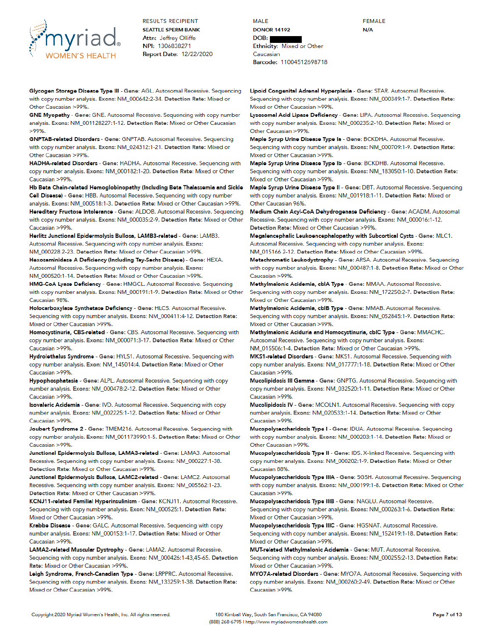

Glycogen Storage Disease Type III - Gene: AGL. Autosomal Recessive. Sequencing with copy number analysis. Exons: NM\_000642:2-34. Detection Rate: Mixed or Other Caucasian >99%.

GNE Myopathy - Gono: GNE. Autosomal Recessive. Sequencing with copy number analysis. Exons: NM\_001128227:1-12. Detection Rate: Mixed or Other Caucasian  $>99%$ 

GNPTAB-related Disorders - Gene: GNPTAB. Autosomal Recessive. Sequencing with copy number analysis. Exons: NM\_024312:1-21. Detection Rate: Mixed or Other Caucasian >99%

HADHA-related Disorders - Gene: HADHA. Autosomal Recessive. Sequencing with copy number analysis. Exons: NM\_000182:1-20. Detection Rate: Mixed or Other Caucasian >99%.

Hb Beta Chain-related Hemoglobinopathy (Including Beta Thalassemia and Sickle Coll Disease) - Gene: HBB. Autosomal Recessive. Sequencing with copy number analysis. Exons: NM\_000518:1-3. Detection Rate: Mixed or Other Caucasian >99%. Hereditary Fructose Intolerance - Gene: ALDOB. Autosomal Recessive. Sequencing

with copy number analysis. Exons: NM\_000035:2-9. Detection Rate: Mixed or Other Caucasian >99%. Herlitz Junctional Epidermolysis Bullosa, LAMB3-related - Gene: LAMB3.

Autosomal Recessive. Sequencing with copy number analysis. Exons: NM 000228 2-23. Detection Rate: Mixed or Other Caucasian >99%.

Hexosaminidase A Deficiency (Including Tay-Sachs Disease) - Gene: HEXA. Autosomal Recessive. Sequencing with copy number analysis. Exons: NM\_000520:1-14. Detection Rate: Mixed or Other Caucasian >99%.

HMG-CoA Lyase Deficiency - Gene: HMGCL. Autosomal Recessive. Sequencing with copy number analysis. Exons: NM\_000191:1-9. Detection Rate: Mixed or Other Caucasian 98%

Holocarboxylase Synthetase Deficiency - Gene: HLCS. Autosomal Recessive. Sequencing with copy number analysis. Exons: NM\_000411:4-12. Detection Rate: Mixed or Other Caucasian >99%.

Homocystinuria, CBS-related - Gene: CBS. Autosomal Recessive. Sequencing with copy number analysis. Exons: NM\_000071:3-17. Detection Rate: Mixed or Other Caucasian >99%.

Hydrolethalus Syndrome - Gene: HYLS1. Autosomal Recessive. Sequencing with copy number analysis. Exon: NM\_145014:4. Detection Rate: Mixed or Other Caucasian >99%.

Hypophosphatasia - Gono: ALPL. Autosomal Recessive. Sequencing with copy number analysis. Exons: NM\_000478:2-12. Detection Rate: Mixed or Other Caucasian >99%.

Isovaleric Acidemia - Gene: IVD. Autosomal Recessive. Sequencing with copy number analysis. Exons: NM\_002225:1-12. Detection Rate: Mixed or Other Caucasian >99%.

Joubert Syndrome 2 - Gene: TMEM216. Autosomal Recessive. Sequencing with copy number analysis. Exons: NM\_001173990:1-5. Detection Rate: Mixed or Other Caucasian >99%.

Junctional Epidermolysis Bullosa, LAMA3-related - Gene: LAMA3. Autosomal Recessive. Sequencing with copy number analysis. Exons: NM\_000227:1-38. Detection Rate: Mixed or Other Caucasian >99%.

Junctional Epidermolysis Bullosa, LAMC2-related - Gene: LAMC2. Autosomal Recessive. Sequencing with copy number analysis. Exons: NM\_005562:1-23. Detection Rate: Mixed or Other Caucasian >99%.

KCNJ11-related Familial Hyperinsulinism - Gene: KCNJ11. Autosomal Recessive. Sequencing with copy number analysis. Exon: NM\_000525:1. Detection Rate: Mixed or Other Caucasian >99%.

Krabbe Disease - Gene: GALC. Autosomal Recessive. Sequencing with copy number analysis. Exons: NM\_000153:1-17. Detection Rate: Mixed or Other Caucasian >99%.

LAMA2-related Muscular Dystrophy - Gene: LAMA2. Autosomal Recessive. Sequencing with copy number analysis. Exons: NM\_000426:1-43,45-65. Detection Rate: Mixed or Other Caucasian >99%.

Leigh Syndrome, French-Canadian Type - Gene: LRPPRC. Autosomal Recessive. Sequencing with copy number analysis. Exons: NM\_133259:1-38. Detection Rate: Mixed or Other Caucasian >99%.

**MALE DONOR 14192** DOB: Ethnicity: Mixed or Other Caucasian Barcode: 11004512698718

Lipoid Congenital Adrenal Hyperplasia - Gene: STAR. Autosomal Recessive. Sequencing with copy number analysis. Exons: NM\_000349:1-7. Detection Rate: Mixed or Other Caucasian >99%.

**FEMALE** 

 $N/A$ 

Lysosomal Acid Lipase Deficiency - Gene: LIPA. Autosomal Recessive. Sequencing with copy number analysis. Exons: NM\_000235:2-10. Detection Rate: Mixed or Other Caucasian >99%.

Maple Syrup Urine Disease Type la - Gene: BCKDHA. Autosomal Recessive. Sequencing with copy number analysis. Exons: NM\_000709:1-9. Detection Rate: Mixed or Other Caucasian >99%.

Maple Syrup Urine Disease Type Ib - Gene: BCKDHB. Autosomal Recessive. Sequencing with copy number analysis. Exons: NM\_183050:1-10. Detection Rate: Mixed or Other Caucasian >99%.

Maple Syrup Urine Disease Type II - Gene: DBT. Autosomal Recessive. Sequencing with copy number analysis. Exons: NM\_001918:1-11. Detection Rate: Mixed or Other Caucasian 96%.

Medium Chain Acyl-CoA Dehydrogenase Deficiency - Gene: ACADM. Autosomal Recessive. Sequencing with copy number analysis. Exons: NM\_000016:1-12. Detection Rate: Mixed or Other Caucasian >99%.

Megalencephalic Leukoencephalopathy with Subcortical Cysts - Gene: MLC1. Autosomal Recessive. Sequencing with copy number analysis. Exons: NM\_015166 2-12. Detection Rate: Mixed or Other Caucasian >99%.

Metachromatic Leukodystrophy - Gene: ARSA. Autosomal Recessive. Sequencing with copy number analysis. Exons: NM\_000487:1-8. Detection Rate: Mixed or Other Caucasian >99%.

Methylmalonic Acidemia, cblA Type - Gene: MMAA. Autosomal Recessive. Sequencing with copy number analysis. Exons: NM\_172250:2-7. Detection Rate: Mixed or Other Caucasian >99%.

Methylmalonic Acidemia, cblB Type - Gene: MMAB. Autosomal Recessive. Sequencing with copy number analysis. Exons: NM\_052845:1-9. Detection Rate: Mixed or Other Caucasian >99%.

Methylmalonic Aciduria and Homocystinuria, cbIC Type - Gene: MMACHC. Autosomal Recessive. Sequencing with copy number analysis. Exons: NM\_015506:1-4. Detection Rate: Mixed or Other Caucasian >99%.

MKS1-related Disorders - Gene: MKS1. Autosomal Recessive. Sequencing with copy number analysis. Exons: NM\_017777:1-18. Detection Rate: Mixed or Other Caucasian >99%.

Mucolipidosis III Gamma - Gono: GNPTG. Autosomal Recessive. Sequencing with copy number analysis. Exons: NM\_032520:1-11. Detection Rate: Mixed or Other Caucasian >99%.

Mucolipidosis IV - Gene: MCOLN1. Autosomal Recessive. Sequencing with copy number analysis. Exons: NM\_020533:1-14. Detection Rate: Mixed or Other Caucasian >99%

Mucopolysaccharidosis Type I - Gene: IDUA. Autosomal Recessive. Sequencing with copy number analysis. Exons: NM\_000203:1-14. Detection Rate: Mixed or Other Caucasian >99%.

Mucopolysaccharidosis Type II - Gene: IDS. X-linked Recessive. Sequencing with copy number analysis. Exons: NM\_000202:1-9. Detection Rate: Mixed or Other Caucasian 88%.

Mucopolysaccharidosis Type IIIA - Gene: SGSH. Autosomal Recessive. Sequencing with copy number analysis. Exons: NM\_000199:1-8. Detection Rate: Mixed or Other Caucasian >99%

Mucopolysaccharidosis Type IIIB - Gene: NAGLU. Autosomal Recessive. Sequencing with copy number analysis. Exons: NM\_000263:1-6. Detection Rate: Mixed or Other Caucasian >99%.

Mucopolysaccharidosis Type IIIC - Gene: HGSNAT. Autosomal Recessive. Sequencing with copy number analysis. Exons: NM\_152419:1-18. Detection Rate: Mixed or Other Caucasian >99%.

MUT-related Methylmalonic Acidemia - Gene: MUT. Autosomal Recessive. Sequencing with copy number analysis. Exons: NM\_000255:2-13. Detection Rate: Mixed or Other Caucasian >99%.

MYO7A-related Disorders - Gene: MYO7A. Autosomal Recessive. Sequencing with copy number analysis. Exons: NM\_000260:2-49. Detection Rate: Mixed or Other Caucasian >99%.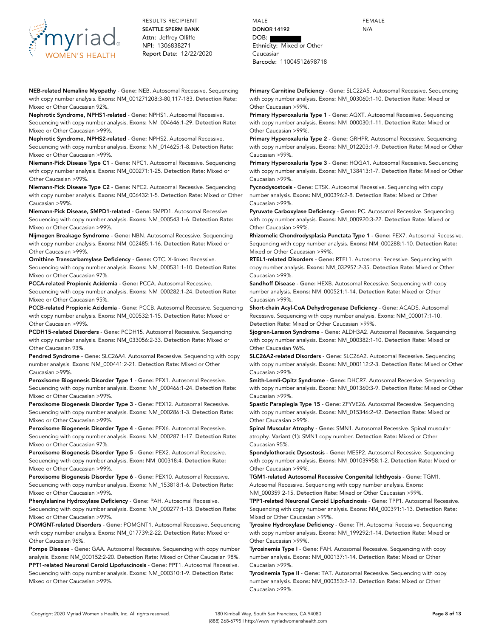

**NEB-related Nemaline Myopathy** - **Gene:** NEB. Autosomal Recessive. Sequencing with copy number analysis. **Exons:** NM\_001271208:3-80,117-183. **Detection Rate:** Mixed or Other Caucasian 92%.

**Nephrotic Syndrome, NPHS1-related** - **Gene:** NPHS1. Autosomal Recessive. Sequencing with copy number analysis. **Exons:** NM\_004646:1-29. **Detection Rate:** Mixed or Other Caucasian >99%.

**Nephrotic Syndrome, NPHS2-related** - **Gene:** NPHS2. Autosomal Recessive. Sequencing with copy number analysis. **Exons:** NM\_014625:1-8. **Detection Rate:** Mixed or Other Caucasian >99%.

**Niemann-Pick Disease Type C1** - **Gene:** NPC1. Autosomal Recessive. Sequencing with copy number analysis. **Exons:** NM\_000271:1-25. **Detection Rate:** Mixed or Other Caucasian >99%.

**Niemann-Pick Disease Type C2** - **Gene:** NPC2. Autosomal Recessive. Sequencing with copy number analysis. **Exons:** NM\_006432:1-5. **Detection Rate:** Mixed or Other Caucasian >99%.

**Niemann-Pick Disease, SMPD1-related** - **Gene:** SMPD1. Autosomal Recessive. Sequencing with copy number analysis. **Exons:** NM\_000543:1-6. **Detection Rate:** Mixed or Other Caucasian >99%.

**Nijmegen Breakage Syndrome** - **Gene:** NBN. Autosomal Recessive. Sequencing with copy number analysis. **Exons:** NM\_002485:1-16. **Detection Rate:** Mixed or Other Caucasian >99%.

**Ornithine Transcarbamylase Deficiency** - **Gene:** OTC. X-linked Recessive. Sequencing with copy number analysis. **Exons:** NM\_000531:1-10. **Detection Rate:** Mixed or Other Caucasian 97%.

**PCCA-related Propionic Acidemia** - **Gene:** PCCA. Autosomal Recessive. Sequencing with copy number analysis. **Exons:** NM\_000282:1-24. **Detection Rate:** Mixed or Other Caucasian 95%.

**PCCB-related Propionic Acidemia** - **Gene:** PCCB. Autosomal Recessive. Sequencing with copy number analysis. **Exons:** NM\_000532:1-15. **Detection Rate:** Mixed or Other Caucasian >99%.

**PCDH15-related Disorders** - **Gene:** PCDH15. Autosomal Recessive. Sequencing with copy number analysis. **Exons:** NM\_033056:2-33. **Detection Rate:** Mixed or Other Caucasian 93%.

**Pendred Syndrome** - **Gene:** SLC26A4. Autosomal Recessive. Sequencing with copy number analysis. **Exons:** NM\_000441:2-21. **Detection Rate:** Mixed or Other Caucasian >99%.

**Peroxisome Biogenesis Disorder Type 1** - **Gene:** PEX1. Autosomal Recessive. Sequencing with copy number analysis. **Exons:** NM\_000466:1-24. **Detection Rate:** Mixed or Other Caucasian >99%.

**Peroxisome Biogenesis Disorder Type 3** - **Gene:** PEX12. Autosomal Recessive. Sequencing with copy number analysis. **Exons:** NM\_000286:1-3. **Detection Rate:** Mixed or Other Caucasian >99%.

**Peroxisome Biogenesis Disorder Type 4** - **Gene:** PEX6. Autosomal Recessive. Sequencing with copy number analysis. **Exons:** NM\_000287:1-17. **Detection Rate:** Mixed or Other Caucasian 97%.

**Peroxisome Biogenesis Disorder Type 5** - **Gene:** PEX2. Autosomal Recessive. Sequencing with copy number analysis. **Exon:** NM\_000318:4. **Detection Rate:** Mixed or Other Caucasian >99%.

**Peroxisome Biogenesis Disorder Type 6** - **Gene:** PEX10. Autosomal Recessive. Sequencing with copy number analysis. **Exons:** NM\_153818:1-6. **Detection Rate:** Mixed or Other Caucasian >99%.

**Phenylalanine Hydroxylase Deficiency** - **Gene:** PAH. Autosomal Recessive. Sequencing with copy number analysis. **Exons:** NM\_000277:1-13. **Detection Rate:** Mixed or Other Caucasian >99%.

**POMGNT-related Disorders** - **Gene:** POMGNT1. Autosomal Recessive. Sequencing with copy number analysis. **Exons:** NM\_017739:2-22. **Detection Rate:** Mixed or Other Caucasian 96%.

**Pompe Disease** - **Gene:** GAA. Autosomal Recessive. Sequencing with copy number analysis. **Exons:** NM\_000152:2-20. **Detection Rate:** Mixed or Other Caucasian 98%. **PPT1-related Neuronal Ceroid Lipofuscinosis** - **Gene:** PPT1. Autosomal Recessive. Sequencing with copy number analysis. **Exons:** NM\_000310:1-9. **Detection Rate:** Mixed or Other Caucasian >99%.

MALE **DONOR 14192** DOB: Ethnicity: Mixed or Other Caucasian Barcode: 11004512698718

**Primary Carnitine Deficiency** - **Gene:** SLC22A5. Autosomal Recessive. Sequencing with copy number analysis. **Exons:** NM\_003060:1-10. **Detection Rate:** Mixed or Other Caucasian >99%.

**Primary Hyperoxaluria Type 1** - **Gene:** AGXT. Autosomal Recessive. Sequencing with copy number analysis. **Exons:** NM\_000030:1-11. **Detection Rate:** Mixed or Other Caucasian >99%.

**Primary Hyperoxaluria Type 2** - **Gene:** GRHPR. Autosomal Recessive. Sequencing with copy number analysis. **Exons:** NM\_012203:1-9. **Detection Rate:** Mixed or Other Caucasian >99%.

**Primary Hyperoxaluria Type 3** - **Gene:** HOGA1. Autosomal Recessive. Sequencing with copy number analysis. **Exons:** NM\_138413:1-7. **Detection Rate:** Mixed or Other Caucasian >99%.

**Pycnodysostosis** - **Gene:** CTSK. Autosomal Recessive. Sequencing with copy number analysis. **Exons:** NM\_000396:2-8. **Detection Rate:** Mixed or Other Caucasian >99%.

**Pyruvate Carboxylase Deficiency** - **Gene:** PC. Autosomal Recessive. Sequencing with copy number analysis. **Exons:** NM\_000920:3-22. **Detection Rate:** Mixed or Other Caucasian >99%.

**Rhizomelic Chondrodysplasia Punctata Type 1** - **Gene:** PEX7. Autosomal Recessive. Sequencing with copy number analysis. **Exons:** NM\_000288:1-10. **Detection Rate:** Mixed or Other Caucasian >99%.

**RTEL1-related Disorders** - **Gene:** RTEL1. Autosomal Recessive. Sequencing with copy number analysis. **Exons:** NM\_032957:2-35. **Detection Rate:** Mixed or Other Caucasian >99%.

**Sandhoff Disease** - **Gene:** HEXB. Autosomal Recessive. Sequencing with copy number analysis. **Exons:** NM\_000521:1-14. **Detection Rate:** Mixed or Other Caucasian >99%.

**Short-chain Acyl-CoA Dehydrogenase Deficiency** - **Gene:** ACADS. Autosomal Recessive. Sequencing with copy number analysis. **Exons:** NM\_000017:1-10. **Detection Rate:** Mixed or Other Caucasian >99%.

**Sjogren-Larsson Syndrome** - **Gene:** ALDH3A2. Autosomal Recessive. Sequencing with copy number analysis. **Exons:** NM\_000382:1-10. **Detection Rate:** Mixed or Other Caucasian 96%.

**SLC26A2-related Disorders** - **Gene:** SLC26A2. Autosomal Recessive. Sequencing with copy number analysis. **Exons:** NM\_000112:2-3. **Detection Rate:** Mixed or Other Caucasian >99%.

**Smith-Lemli-Opitz Syndrome** - **Gene:** DHCR7. Autosomal Recessive. Sequencing with copy number analysis. **Exons:** NM\_001360:3-9. **Detection Rate:** Mixed or Other Caucasian >99%.

**Spastic Paraplegia Type 15** - **Gene:** ZFYVE26. Autosomal Recessive. Sequencing with copy number analysis. **Exons:** NM\_015346:2-42. **Detection Rate:** Mixed or Other Caucasian >99%.

**Spinal Muscular Atrophy** - **Gene:** SMN1. Autosomal Recessive. Spinal muscular atrophy. **Variant (1):** SMN1 copy number. **Detection Rate:** Mixed or Other Caucasian 95%.

**Spondylothoracic Dysostosis** - **Gene:** MESP2. Autosomal Recessive. Sequencing with copy number analysis. **Exons:** NM\_001039958:1-2. **Detection Rate:** Mixed or Other Caucasian >99%.

**TGM1-related Autosomal Recessive Congenital Ichthyosis** - **Gene:** TGM1. Autosomal Recessive. Sequencing with copy number analysis. **Exons:** NM\_000359 2-15. **Detection Rate:** Mixed or Other Caucasian >99%.

**TPP1-related Neuronal Ceroid Lipofuscinosis** - **Gene:** TPP1. Autosomal Recessive. Sequencing with copy number analysis. **Exons:** NM\_000391:1-13. **Detection Rate:** Mixed or Other Caucasian >99%.

**Tyrosine Hydroxylase Deficiency** - **Gene:** TH. Autosomal Recessive. Sequencing with copy number analysis. **Exons:** NM\_199292:1-14. **Detection Rate:** Mixed or Other Caucasian >99%.

**Tyrosinemia Type I** - **Gene:** FAH. Autosomal Recessive. Sequencing with copy number analysis. **Exons:** NM\_000137:1-14. **Detection Rate:** Mixed or Other Caucasian >99%.

**Tyrosinemia Type II** - **Gene:** TAT. Autosomal Recessive. Sequencing with copy number analysis. **Exons:** NM\_000353:2-12. **Detection Rate:** Mixed or Other Caucasian >99%.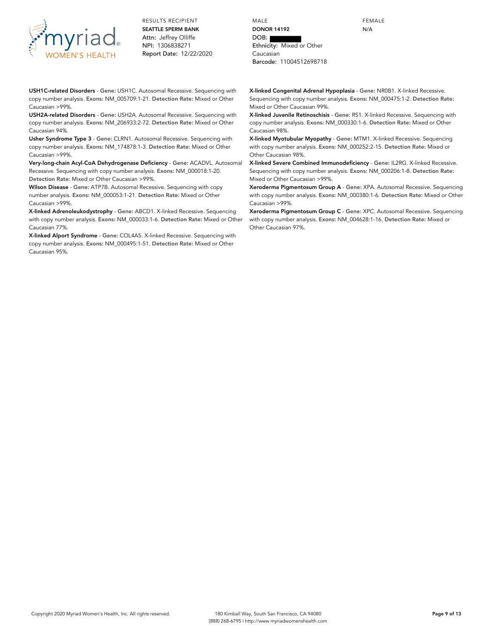

MALE **DONOR 14192** DOB: Ethnicity: Mixed or Other Caucasian Barcode: 11004512698718

FEMALE N/A

**X-linked Congenital Adrenal Hypoplasia** - **Gene:** NR0B1. X-linked Recessive. Sequencing with copy number analysis. **Exons:** NM\_000475:1-2. **Detection Rate:** Mixed or Other Caucasian 99%.

**X-linked Juvenile Retinoschisis** - **Gene:** RS1. X-linked Recessive. Sequencing with copy number analysis. **Exons:** NM\_000330:1-6. **Detection Rate:** Mixed or Other Caucasian 98%.

**X-linked Myotubular Myopathy** - **Gene:** MTM1. X-linked Recessive. Sequencing with copy number analysis. **Exons:** NM\_000252:2-15. **Detection Rate:** Mixed or Other Caucasian 98%.

**X-linked Severe Combined Immunodeficiency** - **Gene:** IL2RG. X-linked Recessive. Sequencing with copy number analysis. **Exons:** NM\_000206:1-8. **Detection Rate:** Mixed or Other Caucasian >99%.

**Xeroderma Pigmentosum Group A** - **Gene:** XPA. Autosomal Recessive. Sequencing with copy number analysis. **Exons:** NM\_000380:1-6. **Detection Rate:** Mixed or Other Caucasian >99%.

**Xeroderma Pigmentosum Group C** - **Gene:** XPC. Autosomal Recessive. Sequencing with copy number analysis. **Exons:** NM\_004628:1-16. **Detection Rate:** Mixed or Other Caucasian 97%.

**USH1C-related Disorders** - **Gene:** USH1C. Autosomal Recessive. Sequencing with copy number analysis. **Exons:** NM\_005709:1-21. **Detection Rate:** Mixed or Other Caucasian >99%.

**USH2A-related Disorders** - **Gene:** USH2A. Autosomal Recessive. Sequencing with copy number analysis. **Exons:** NM\_206933:2-72. **Detection Rate:** Mixed or Other Caucasian 94%.

**Usher Syndrome Type 3** - **Gene:** CLRN1. Autosomal Recessive. Sequencing with copy number analysis. **Exons:** NM\_174878:1-3. **Detection Rate:** Mixed or Other Caucasian >99%.

**Very-long-chain Acyl-CoA Dehydrogenase Deficiency** - **Gene:** ACADVL. Autosomal Recessive. Sequencing with copy number analysis. **Exons:** NM\_000018:1-20. **Detection Rate:** Mixed or Other Caucasian >99%.

**Wilson Disease** - **Gene:** ATP7B. Autosomal Recessive. Sequencing with copy number analysis. **Exons:** NM\_000053:1-21. **Detection Rate:** Mixed or Other Caucasian >99%.

**X-linked Adrenoleukodystrophy** - **Gene:** ABCD1. X-linked Recessive. Sequencing with copy number analysis. **Exons:** NM\_000033:1-6. **Detection Rate:** Mixed or Other Caucasian 77%.

**X-linked Alport Syndrome** - **Gene:** COL4A5. X-linked Recessive. Sequencing with copy number analysis. **Exons:** NM\_000495:1-51. **Detection Rate:** Mixed or Other Caucasian 95%.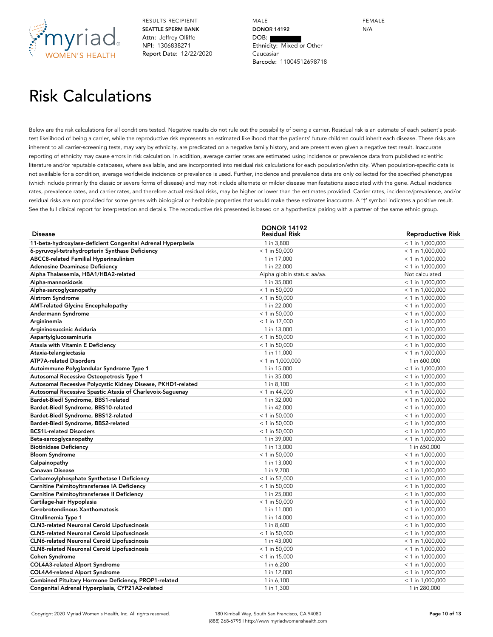

MALE **DONOR 14192** DOB: Ethnicity: Mixed or Other Caucasian Barcode: 11004512698718

FEMALE N/A

## Risk Calculations

Below are the risk calculations for all conditions tested. Negative results do not rule out the possibility of being a carrier. Residual risk is an estimate of each patient's posttest likelihood of being a carrier, while the reproductive risk represents an estimated likelihood that the patients' future children could inherit each disease. These risks are inherent to all carrier-screening tests, may vary by ethnicity, are predicated on a negative family history, and are present even given a negative test result. Inaccurate reporting of ethnicity may cause errors in risk calculation. In addition, average carrier rates are estimated using incidence or prevalence data from published scientific literature and/or reputable databases, where available, and are incorporated into residual risk calculations for each population/ethnicity. When population-specific data is not available for a condition, average worldwide incidence or prevalence is used. Further, incidence and prevalence data are only collected for the specified phenotypes (which include primarily the classic or severe forms of disease) and may not include alternate or milder disease manifestations associated with the gene. Actual incidence rates, prevalence rates, and carrier rates, and therefore actual residual risks, may be higher or lower than the estimates provided. Carrier rates, incidence/prevalence, and/or residual risks are not provided for some genes with biological or heritable properties that would make these estimates inaccurate. A '†' symbol indicates a positive result. See the full clinical report for interpretation and details. The reproductive risk presented is based on a hypothetical pairing with a partner of the same ethnic group.

|                                                              | <b>DONOR 14192</b>          |                          |
|--------------------------------------------------------------|-----------------------------|--------------------------|
| <b>Disease</b>                                               | Residual Risk               | <b>Reproductive Risk</b> |
| 11-beta-hydroxylase-deficient Congenital Adrenal Hyperplasia | 1 in 3,800                  | $< 1$ in 1,000,000       |
| 6-pyruvoyl-tetrahydropterin Synthase Deficiency              | $< 1$ in 50,000             | $< 1$ in 1,000,000       |
| <b>ABCC8-related Familial Hyperinsulinism</b>                | 1 in 17,000                 | $<$ 1 in 1,000,000       |
| <b>Adenosine Deaminase Deficiency</b>                        | 1 in 22,000                 | $<$ 1 in 1,000,000       |
| Alpha Thalassemia, HBA1/HBA2-related                         | Alpha globin status: aa/aa. | Not calculated           |
| Alpha-mannosidosis                                           | 1 in 35,000                 | $<$ 1 in 1,000,000       |
| Alpha-sarcoglycanopathy                                      | $< 1$ in 50,000             | $<$ 1 in 1,000,000       |
| <b>Alstrom Syndrome</b>                                      | $<$ 1 in 50,000             | $<$ 1 in 1,000,000       |
| <b>AMT-related Glycine Encephalopathy</b>                    | 1 in 22,000                 | $< 1$ in 1,000,000       |
| Andermann Syndrome                                           | $< 1$ in 50,000             | $<$ 1 in 1,000,000       |
| Argininemia                                                  | $<$ 1 in 17,000             | $<$ 1 in 1,000,000       |
| Argininosuccinic Aciduria                                    | 1 in 13,000                 | $<$ 1 in 1,000,000       |
| Aspartylglucosaminuria                                       | $< 1$ in 50,000             | $< 1$ in 1,000,000       |
| Ataxia with Vitamin E Deficiency                             | $< 1$ in 50,000             | $< 1$ in 1,000,000       |
| Ataxia-telangiectasia                                        | 1 in 11,000                 | $<$ 1 in 1,000,000       |
| <b>ATP7A-related Disorders</b>                               | $<$ 1 in 1,000,000          | 1 in 600,000             |
| Autoimmune Polyglandular Syndrome Type 1                     | 1 in 15,000                 | $<$ 1 in 1,000,000       |
| Autosomal Recessive Osteopetrosis Type 1                     | 1 in 35,000                 | $<$ 1 in 1,000,000       |
| Autosomal Recessive Polycystic Kidney Disease, PKHD1-related | 1 in 8,100                  | $<$ 1 in 1,000,000       |
| Autosomal Recessive Spastic Ataxia of Charlevoix-Saguenay    | $<$ 1 in 44,000             | $<$ 1 in 1,000,000       |
| Bardet-Biedl Syndrome, BBS1-related                          | 1 in 32,000                 | $<$ 1 in 1,000,000       |
| Bardet-Biedl Syndrome, BBS10-related                         | 1 in 42,000                 | $<$ 1 in 1,000,000       |
| Bardet-Biedl Syndrome, BBS12-related                         | $< 1$ in 50,000             | $<$ 1 in 1,000,000       |
| Bardet-Biedl Syndrome, BBS2-related                          | $<$ 1 in 50,000             | $<$ 1 in 1,000,000       |
| <b>BCS1L-related Disorders</b>                               | $<$ 1 in 50,000             | $<$ 1 in 1,000,000       |
| Beta-sarcoglycanopathy                                       | 1 in 39,000                 | $<$ 1 in 1,000,000       |
| <b>Biotinidase Deficiency</b>                                | 1 in 13,000                 | 1 in 650,000             |
| <b>Bloom Syndrome</b>                                        | $<$ 1 in 50,000             | $<$ 1 in 1,000,000       |
| Calpainopathy                                                | 1 in 13,000                 | $<$ 1 in 1,000,000       |
| <b>Canavan Disease</b>                                       | 1 in 9,700                  | $<$ 1 in 1,000,000       |
| Carbamoylphosphate Synthetase I Deficiency                   | $< 1$ in 57,000             | $<$ 1 in 1,000,000       |
| Carnitine Palmitoyltransferase IA Deficiency                 | $<$ 1 in 50,000             | $<$ 1 in 1,000,000       |
| Carnitine Palmitoyltransferase II Deficiency                 | 1 in 25,000                 | $<$ 1 in 1,000,000       |
| Cartilage-hair Hypoplasia                                    | $< 1$ in 50,000             | $<$ 1 in 1,000,000       |
| Cerebrotendinous Xanthomatosis                               | 1 in 11,000                 | $<$ 1 in 1,000,000       |
| Citrullinemia Type 1                                         | 1 in 14,000                 | $<$ 1 in 1,000,000       |
| <b>CLN3-related Neuronal Ceroid Lipofuscinosis</b>           | 1 in 8,600                  | $<$ 1 in 1,000,000       |
| <b>CLN5-related Neuronal Ceroid Lipofuscinosis</b>           | $< 1$ in 50,000             | $<$ 1 in 1,000,000       |
| <b>CLN6-related Neuronal Ceroid Lipofuscinosis</b>           | 1 in 43,000                 | $<$ 1 in 1,000,000       |
| <b>CLN8-related Neuronal Ceroid Lipofuscinosis</b>           | $<$ 1 in 50,000             | $<$ 1 in 1,000,000       |
| <b>Cohen Syndrome</b>                                        | $<$ 1 in 15,000             | $<$ 1 in 1,000,000       |
| COL4A3-related Alport Syndrome                               | 1 in 6,200                  | $<$ 1 in 1,000,000       |
| COL4A4-related Alport Syndrome                               | 1 in 12,000                 | $<$ 1 in 1,000,000       |
| Combined Pituitary Hormone Deficiency, PROP1-related         | 1 in 6,100                  | $<$ 1 in 1,000,000       |
| Congenital Adrenal Hyperplasia, CYP21A2-related              | 1 in 1,300                  | 1 in 280,000             |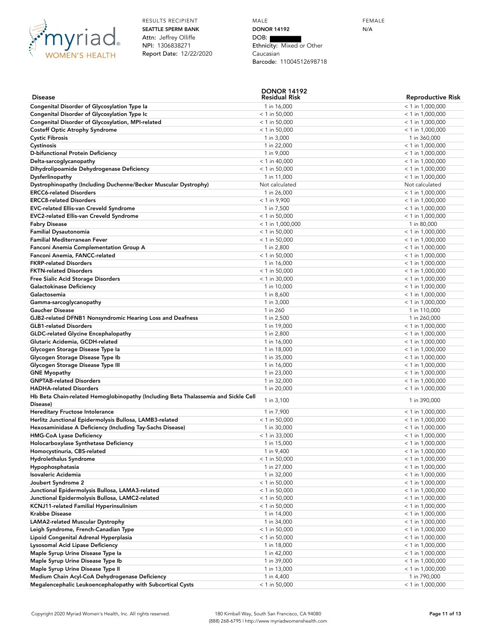

MALE **DONOR 14192** DOB: Ethnicity: Mixed or Other Caucasian Barcode: 11004512698718

| <b>Disease</b>                                                                     | <b>DONOR 14192</b><br>Residual Risk | <b>Reproductive Risk</b>                 |
|------------------------------------------------------------------------------------|-------------------------------------|------------------------------------------|
| Congenital Disorder of Glycosylation Type la                                       | 1 in 16,000                         | $<$ 1 in 1,000,000                       |
| Congenital Disorder of Glycosylation Type Ic                                       | $<$ 1 in 50,000                     | $< 1$ in 1,000,000                       |
| Congenital Disorder of Glycosylation, MPI-related                                  | $<$ 1 in 50,000                     | $<$ 1 in 1,000,000                       |
| <b>Costeff Optic Atrophy Syndrome</b>                                              | $<$ 1 in 50,000                     | $<$ 1 in 1,000,000                       |
| <b>Cystic Fibrosis</b>                                                             | 1 in 3,000                          | 1 in 360,000                             |
| Cystinosis                                                                         | 1 in 22,000                         | $<$ 1 in 1,000,000                       |
| D-bifunctional Protein Deficiency                                                  | 1 in 9,000                          | $<$ 1 in 1,000,000                       |
| Delta-sarcoglycanopathy                                                            | $<$ 1 in 40,000                     | $<$ 1 in 1,000,000                       |
| Dihydrolipoamide Dehydrogenase Deficiency                                          | $< 1$ in 50,000                     | $<$ 1 in 1,000,000                       |
| Dysferlinopathy                                                                    | 1 in 11,000                         | $<$ 1 in 1,000,000                       |
| Dystrophinopathy (Including Duchenne/Becker Muscular Dystrophy)                    | Not calculated                      | Not calculated                           |
| <b>ERCC6-related Disorders</b>                                                     | 1 in 26,000                         | $<$ 1 in 1,000,000                       |
| <b>ERCC8-related Disorders</b>                                                     | $< 1$ in 9,900                      | $<$ 1 in 1,000,000                       |
| <b>EVC-related Ellis-van Creveld Syndrome</b>                                      | 1 in 7,500                          | $<$ 1 in 1,000,000                       |
| <b>EVC2-related Ellis-van Creveld Syndrome</b>                                     | $<$ 1 in 50,000                     | $<$ 1 in 1,000,000                       |
| <b>Fabry Disease</b>                                                               | $<$ 1 in 1,000,000                  | 1 in 80,000                              |
| <b>Familial Dysautonomia</b>                                                       | $<$ 1 in 50,000                     | $<$ 1 in 1,000,000                       |
| Familial Mediterranean Fever                                                       | $<$ 1 in 50,000                     | $<$ 1 in 1,000,000                       |
| Fanconi Anemia Complementation Group A                                             | 1 in 2,800                          | $<$ 1 in 1,000,000                       |
| Fanconi Anemia, FANCC-related                                                      | $<$ 1 in 50,000                     | $<$ 1 in 1,000,000                       |
| <b>FKRP-related Disorders</b>                                                      | 1 in 16,000                         | $<$ 1 in 1,000,000                       |
| <b>FKTN-related Disorders</b>                                                      | $<$ 1 in 50,000                     | $<$ 1 in 1,000,000                       |
| Free Sialic Acid Storage Disorders                                                 | $<$ 1 in 30,000                     | $<$ 1 in 1,000,000                       |
| Galactokinase Deficiency                                                           | 1 in 10,000                         | $<$ 1 in 1,000,000                       |
| Galactosemia                                                                       | 1 in 8,600                          | $<$ 1 in 1,000,000                       |
| Gamma-sarcoglycanopathy                                                            | 1 in 3,000                          | $<$ 1 in 1,000,000                       |
| <b>Gaucher Disease</b>                                                             | 1 in 260                            | 1 in 110,000                             |
| GJB2-related DFNB1 Nonsyndromic Hearing Loss and Deafness                          | 1 in 2,500                          | 1 in 260,000                             |
| <b>GLB1-related Disorders</b>                                                      | 1 in 19,000                         | $<$ 1 in 1,000,000                       |
| <b>GLDC-related Glycine Encephalopathy</b>                                         | 1 in 2,800                          | $<$ 1 in 1,000,000                       |
| Glutaric Acidemia, GCDH-related                                                    | 1 in 16,000                         | $<$ 1 in 1,000,000                       |
| Glycogen Storage Disease Type la                                                   | 1 in 18,000                         | $<$ 1 in 1,000,000                       |
| Glycogen Storage Disease Type Ib                                                   | 1 in 35,000                         | $<$ 1 in 1,000,000                       |
| Glycogen Storage Disease Type III                                                  | 1 in 16,000                         | $<$ 1 in 1,000,000                       |
| <b>GNE Myopathy</b><br><b>GNPTAB-related Disorders</b>                             | 1 in 23,000                         | $<$ 1 in 1,000,000                       |
| <b>HADHA-related Disorders</b>                                                     | 1 in 32,000<br>1 in 20,000          | $<$ 1 in 1,000,000<br>$<$ 1 in 1,000,000 |
| Hb Beta Chain-related Hemoglobinopathy (Including Beta Thalassemia and Sickle Cell |                                     |                                          |
| Disease)                                                                           | 1 in 3,100                          | 1 in 390,000                             |
| Hereditary Fructose Intolerance                                                    | 1 in 7,900                          | $<$ 1 in 1,000,000                       |
| Herlitz Junctional Epidermolysis Bullosa, LAMB3-related                            | $<$ 1 in 50,000                     | $<$ 1 in 1,000,000                       |
| Hexosaminidase A Deficiency (Including Tay-Sachs Disease)                          | 1 in 30,000                         | $<$ 1 in 1,000,000                       |
| <b>HMG-CoA Lyase Deficiency</b>                                                    | $<$ 1 in 33,000                     | $<$ 1 in 1,000,000                       |
| Holocarboxylase Synthetase Deficiency                                              | 1 in 15,000                         | $< 1$ in 1,000,000                       |
| Homocystinuria, CBS-related                                                        | 1 in 9,400                          | $< 1$ in 1,000,000                       |
| <b>Hydrolethalus Syndrome</b>                                                      | $<$ 1 in 50,000                     | $<$ 1 in 1,000,000                       |
| Hypophosphatasia                                                                   | 1 in 27,000                         | $<$ 1 in 1,000,000                       |
| Isovaleric Acidemia                                                                | 1 in 32,000                         | $<$ 1 in 1,000,000                       |
| Joubert Syndrome 2                                                                 | $<$ 1 in 50,000                     | $<$ 1 in 1,000,000                       |
| Junctional Epidermolysis Bullosa, LAMA3-related                                    | $<$ 1 in 50,000                     | $<$ 1 in 1,000,000                       |
| Junctional Epidermolysis Bullosa, LAMC2-related                                    | $<$ 1 in 50,000                     | $<$ 1 in 1,000,000                       |
| KCNJ11-related Familial Hyperinsulinism                                            | $<$ 1 in 50,000                     | $<$ 1 in 1,000,000                       |
| <b>Krabbe Disease</b>                                                              | 1 in 14,000                         | $<$ 1 in 1,000,000                       |
| LAMA2-related Muscular Dystrophy                                                   | 1 in 34,000                         | $<$ 1 in 1,000,000                       |
| Leigh Syndrome, French-Canadian Type                                               | $<$ 1 in 50,000                     | $<$ 1 in 1,000,000                       |
| Lipoid Congenital Adrenal Hyperplasia                                              | $<$ 1 in 50,000                     | $< 1$ in 1,000,000                       |
| Lysosomal Acid Lipase Deficiency                                                   | 1 in 18,000                         | $<$ 1 in 1,000,000                       |
| Maple Syrup Urine Disease Type la                                                  | 1 in 42,000                         | $<$ 1 in 1,000,000                       |
| Maple Syrup Urine Disease Type Ib                                                  | 1 in 39,000                         | $<$ 1 in 1,000,000                       |
| Maple Syrup Urine Disease Type II                                                  | 1 in 13,000                         | $<$ 1 in 1,000,000                       |
| Medium Chain Acyl-CoA Dehydrogenase Deficiency                                     | 1 in 4,400                          | 1 in 790,000                             |
| Megalencephalic Leukoencephalopathy with Subcortical Cysts                         | $<$ 1 in 50,000                     | $<$ 1 in 1,000,000                       |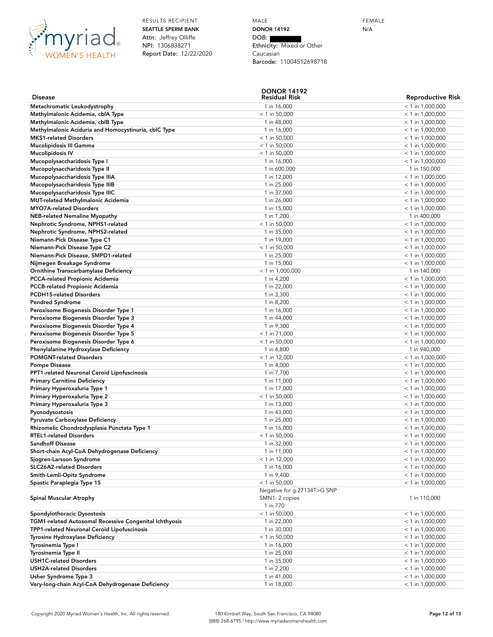

MALE **DONOR 14192** DOB: Ethnicity: Mixed or Other Caucasian Barcode: 11004512698718

**DONOR 14192**

| <b>Disease</b>                                         | DUNUR 1419Z<br><b>Residual Risk</b> | <b>Reproductive Risk</b> |
|--------------------------------------------------------|-------------------------------------|--------------------------|
| Metachromatic Leukodystrophy                           | 1 in 16,000                         | $< 1$ in 1,000,000       |
| Methylmalonic Acidemia, cblA Type                      | $<$ 1 in 50,000                     | $<$ 1 in 1,000,000       |
| Methylmalonic Acidemia, cblB Type                      | 1 in 48,000                         | $<$ 1 in 1,000,000       |
| Methylmalonic Aciduria and Homocystinuria, cblC Type   | 1 in 16,000                         | $<$ 1 in 1,000,000       |
| <b>MKS1-related Disorders</b>                          | $<$ 1 in 50,000                     | $<$ 1 in 1,000,000       |
| Mucolipidosis III Gamma                                | $<$ 1 in 50,000                     | $<$ 1 in 1,000,000       |
| <b>Mucolipidosis IV</b>                                | $<$ 1 in 50,000                     | $<$ 1 in 1,000,000       |
| Mucopolysaccharidosis Type I                           | 1 in 16,000                         | $<$ 1 in 1,000,000       |
| Mucopolysaccharidosis Type II                          | 1 in 600,000                        | 1 in 150,000             |
| Mucopolysaccharidosis Type IIIA                        | 1 in 12,000                         | $<$ 1 in 1,000,000       |
| Mucopolysaccharidosis Type IIIB                        | 1 in 25,000                         | $<$ 1 in 1,000,000       |
| Mucopolysaccharidosis Type IIIC                        | 1 in 37,000                         | $<$ 1 in 1,000,000       |
| <b>MUT-related Methylmalonic Acidemia</b>              | 1 in 26,000                         | $<$ 1 in 1,000,000       |
| <b>MYO7A-related Disorders</b>                         | 1 in 15,000                         | $<$ 1 in 1,000,000       |
| <b>NEB-related Nemaline Myopathy</b>                   | 1 in 1,200                          | 1 in 400,000             |
|                                                        | $<$ 1 in 50,000                     |                          |
| Nephrotic Syndrome, NPHS1-related                      |                                     | $<$ 1 in 1,000,000       |
| Nephrotic Syndrome, NPHS2-related                      | 1 in 35,000                         | $<$ 1 in 1,000,000       |
| Niemann-Pick Disease Type C1                           | 1 in 19,000                         | $<$ 1 in 1,000,000       |
| Niemann-Pick Disease Type C2                           | $<$ 1 in 50,000                     | $<$ 1 in 1,000,000       |
| Niemann-Pick Disease, SMPD1-related                    | 1 in 25,000                         | $<$ 1 in 1,000,000       |
| Nijmegen Breakage Syndrome                             | 1 in 15,000                         | $<$ 1 in 1,000,000       |
| Ornithine Transcarbamylase Deficiency                  | $<$ 1 in 1,000,000                  | 1 in 140,000             |
| PCCA-related Propionic Acidemia                        | 1 in 4,200                          | $<$ 1 in 1,000,000       |
| <b>PCCB-related Propionic Acidemia</b>                 | 1 in 22,000                         | $<$ 1 in 1,000,000       |
| <b>PCDH15-related Disorders</b>                        | 1 in 3,300                          | $<$ 1 in 1,000,000       |
| <b>Pendred Syndrome</b>                                | 1 in 8,200                          | $<$ 1 in 1,000,000       |
| Peroxisome Biogenesis Disorder Type 1                  | 1 in 16,000                         | $<$ 1 in 1,000,000       |
| Peroxisome Biogenesis Disorder Type 3                  | 1 in 44,000                         | $<$ 1 in 1,000,000       |
| Peroxisome Biogenesis Disorder Type 4                  | 1 in 9,300                          | $<$ 1 in 1,000,000       |
| Peroxisome Biogenesis Disorder Type 5                  | $<$ 1 in 71,000                     | $<$ 1 in 1,000,000       |
| Peroxisome Biogenesis Disorder Type 6                  | $<$ 1 in 50,000                     | $<$ 1 in 1,000,000       |
| Phenylalanine Hydroxylase Deficiency                   | 1 in 4,800                          | 1 in 940,000             |
| <b>POMGNT-related Disorders</b>                        | $<$ 1 in 12,000                     | $<$ 1 in 1,000,000       |
| <b>Pompe Disease</b>                                   | 1 in 4,000                          | $<$ 1 in 1,000,000       |
| PPT1-related Neuronal Ceroid Lipofuscinosis            | 1 in 7,700                          | $<$ 1 in 1,000,000       |
| <b>Primary Carnitine Deficiency</b>                    | 1 in 11,000                         | $<$ 1 in 1,000,000       |
| Primary Hyperoxaluria Type 1                           | 1 in 17,000                         | $<$ 1 in 1,000,000       |
| Primary Hyperoxaluria Type 2                           | $<$ 1 in 50,000                     | $<$ 1 in 1,000,000       |
| Primary Hyperoxaluria Type 3                           | 1 in 13,000                         | $<$ 1 in 1,000,000       |
| Pycnodysostosis                                        | 1 in 43,000                         | $<$ 1 in 1,000,000       |
| <b>Pyruvate Carboxylase Deficiency</b>                 | 1 in 25,000                         | $<$ 1 in 1,000,000       |
| Rhizomelic Chondrodysplasia Punctata Type 1            | 1 in 16,000                         | $<$ 1 in 1,000,000       |
| <b>RTEL1-related Disorders</b>                         | $<$ 1 in 50,000                     | $<$ 1 in 1,000,000       |
| <b>Sandhoff Disease</b>                                | 1 in 32,000                         | $<$ 1 in 1,000,000       |
| Short-chain Acyl-CoA Dehydrogenase Deficiency          | 1 in 11,000                         | $< 1$ in 1,000,000       |
| Sjogren-Larsson Syndrome                               | $<$ 1 in 12,000                     | $<$ 1 in 1,000,000       |
| SLC26A2-related Disorders                              | 1 in 16,000                         | $<$ 1 in 1,000,000       |
| Smith-Lemli-Opitz Syndrome                             | 1 in 9,400                          | $<$ 1 in 1,000,000       |
| Spastic Paraplegia Type 15                             | $<$ 1 in 50,000                     | $<$ 1 in 1,000,000       |
|                                                        | Negative for g.27134T>G SNP         |                          |
| Spinal Muscular Atrophy                                | SMN1: 2 copies                      | 1 in 110,000             |
|                                                        | 1 in 770                            |                          |
| Spondylothoracic Dysostosis                            | $<$ 1 in 50,000                     | $<$ 1 in 1,000,000       |
| TGM1-related Autosomal Recessive Congenital Ichthyosis | 1 in 22,000                         | $<$ 1 in 1,000,000       |
| TPP1-related Neuronal Ceroid Lipofuscinosis            | 1 in 30,000                         | $<$ 1 in 1,000,000       |
| Tyrosine Hydroxylase Deficiency                        | $<$ 1 in 50,000                     | $<$ 1 in 1,000,000       |
| Tyrosinemia Type I                                     | 1 in 16,000                         | $<$ 1 in 1,000,000       |
| <b>Tyrosinemia Type II</b>                             | 1 in 25,000                         | $<$ 1 in 1,000,000       |
| <b>USH1C-related Disorders</b>                         | 1 in 35,000                         | $<$ 1 in 1,000,000       |
| USH2A-related Disorders                                | 1 in 2,200                          | $<$ 1 in 1,000,000       |
| Usher Syndrome Type 3                                  | 1 in 41,000                         | $<$ 1 in 1,000,000       |
| Very-long-chain Acyl-CoA Dehydrogenase Deficiency      | 1 in 18,000                         | $<$ 1 in 1,000,000       |